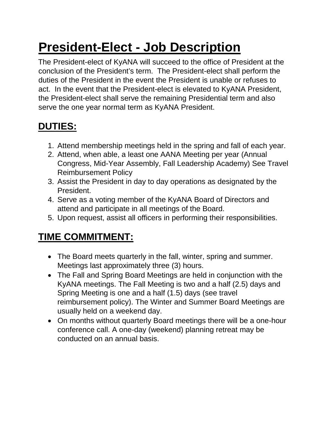## **President-Elect - Job Description**

The President-elect of KyANA will succeed to the office of President at the conclusion of the President's term. The President-elect shall perform the duties of the President in the event the President is unable or refuses to act. In the event that the President-elect is elevated to KyANA President, the President-elect shall serve the remaining Presidential term and also serve the one year normal term as KyANA President.

## **DUTIES:**

- 1. Attend membership meetings held in the spring and fall of each year.
- 2. Attend, when able, a least one AANA Meeting per year (Annual Congress, Mid-Year Assembly, Fall Leadership Academy) See Travel Reimbursement Policy
- 3. Assist the President in day to day operations as designated by the President.
- 4. Serve as a voting member of the KyANA Board of Directors and attend and participate in all meetings of the Board.
- 5. Upon request, assist all officers in performing their responsibilities.

## **TIME COMMITMENT:**

- The Board meets quarterly in the fall, winter, spring and summer. Meetings last approximately three (3) hours.
- The Fall and Spring Board Meetings are held in conjunction with the KyANA meetings. The Fall Meeting is two and a half (2.5) days and Spring Meeting is one and a half (1.5) days (see travel reimbursement policy). The Winter and Summer Board Meetings are usually held on a weekend day.
- On months without quarterly Board meetings there will be a one-hour conference call. A one-day (weekend) planning retreat may be conducted on an annual basis.